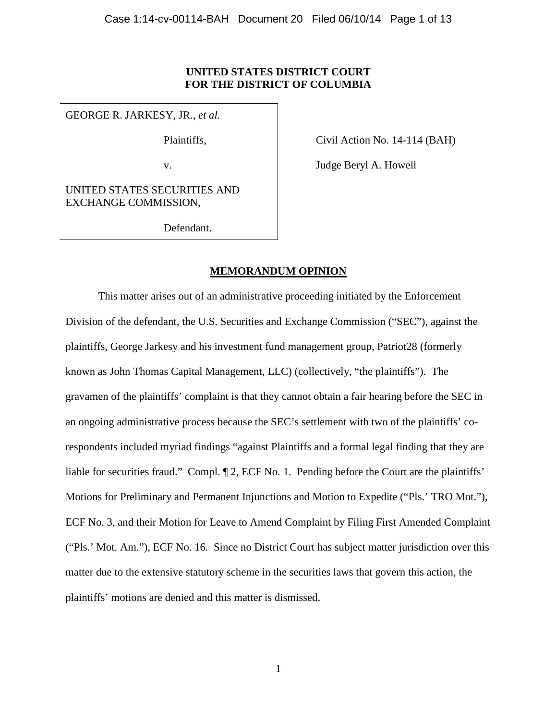# **UNITED STATES DISTRICT COURT FOR THE DISTRICT OF COLUMBIA**

GEORGE R. JARKESY, JR., *et al.*

Plaintiffs,

Civil Action No. 14-114 (BAH)

v.

Judge Beryl A. Howell

UNITED STATES SECURITIES AND EXCHANGE COMMISSION,

Defendant.

# **MEMORANDUM OPINION**

This matter arises out of an administrative proceeding initiated by the Enforcement Division of the defendant, the U.S. Securities and Exchange Commission ("SEC"), against the plaintiffs, George Jarkesy and his investment fund management group, Patriot28 (formerly known as John Thomas Capital Management, LLC) (collectively, "the plaintiffs"). The gravamen of the plaintiffs' complaint is that they cannot obtain a fair hearing before the SEC in an ongoing administrative process because the SEC's settlement with two of the plaintiffs' corespondents included myriad findings "against Plaintiffs and a formal legal finding that they are liable for securities fraud." Compl.  $\P$  2, ECF No. 1. Pending before the Court are the plaintiffs' Motions for Preliminary and Permanent Injunctions and Motion to Expedite ("Pls.' TRO Mot."), ECF No. 3, and their Motion for Leave to Amend Complaint by Filing First Amended Complaint ("Pls.' Mot. Am."), ECF No. 16. Since no District Court has subject matter jurisdiction over this matter due to the extensive statutory scheme in the securities laws that govern this action, the plaintiffs' motions are denied and this matter is dismissed.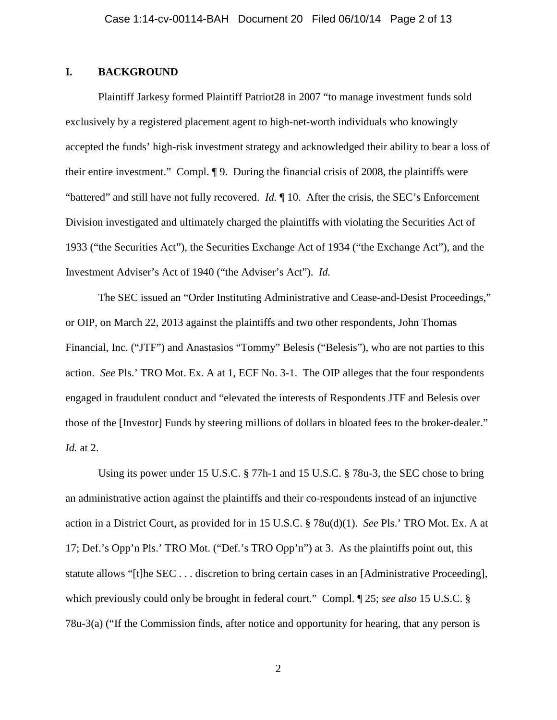# **I. BACKGROUND**

Plaintiff Jarkesy formed Plaintiff Patriot28 in 2007 "to manage investment funds sold exclusively by a registered placement agent to high-net-worth individuals who knowingly accepted the funds' high-risk investment strategy and acknowledged their ability to bear a loss of their entire investment." Compl. ¶ 9. During the financial crisis of 2008, the plaintiffs were "battered" and still have not fully recovered. *Id.* ¶ 10. After the crisis, the SEC's Enforcement Division investigated and ultimately charged the plaintiffs with violating the Securities Act of 1933 ("the Securities Act"), the Securities Exchange Act of 1934 ("the Exchange Act"), and the Investment Adviser's Act of 1940 ("the Adviser's Act"). *Id.*

The SEC issued an "Order Instituting Administrative and Cease-and-Desist Proceedings," or OIP, on March 22, 2013 against the plaintiffs and two other respondents, John Thomas Financial, Inc. ("JTF") and Anastasios "Tommy" Belesis ("Belesis"), who are not parties to this action. *See* Pls.' TRO Mot. Ex. A at 1, ECF No. 3-1. The OIP alleges that the four respondents engaged in fraudulent conduct and "elevated the interests of Respondents JTF and Belesis over those of the [Investor] Funds by steering millions of dollars in bloated fees to the broker-dealer." *Id.* at 2.

Using its power under 15 U.S.C. § 77h-1 and 15 U.S.C. § 78u-3, the SEC chose to bring an administrative action against the plaintiffs and their co-respondents instead of an injunctive action in a District Court, as provided for in 15 U.S.C. § 78u(d)(1). *See* Pls.' TRO Mot. Ex. A at 17; Def.'s Opp'n Pls.' TRO Mot. ("Def.'s TRO Opp'n") at 3. As the plaintiffs point out, this statute allows "[t]he SEC . . . discretion to bring certain cases in an [Administrative Proceeding], which previously could only be brought in federal court." Compl. ¶ 25; *see also* 15 U.S.C. § 78u-3(a) ("If the Commission finds, after notice and opportunity for hearing, that any person is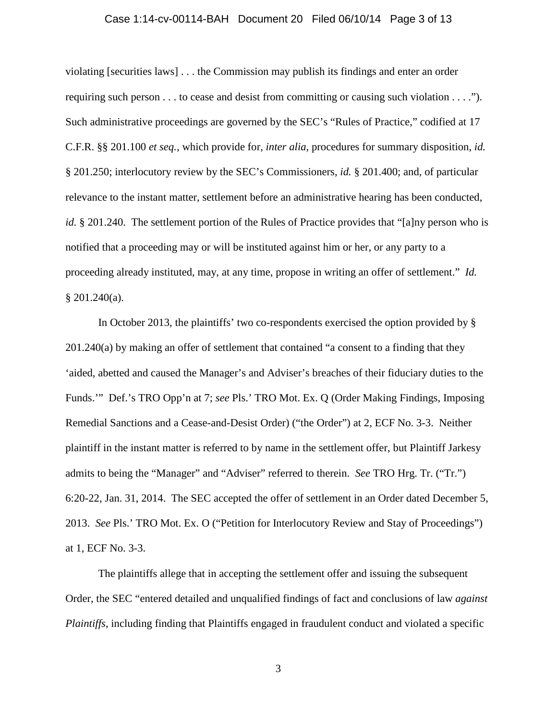# Case 1:14-cv-00114-BAH Document 20 Filed 06/10/14 Page 3 of 13

violating [securities laws] . . . the Commission may publish its findings and enter an order requiring such person . . . to cease and desist from committing or causing such violation . . . ."). Such administrative proceedings are governed by the SEC's "Rules of Practice," codified at 17 C.F.R. §§ 201.100 *et seq.*, which provide for, *inter alia*, procedures for summary disposition, *id.*  § 201.250; interlocutory review by the SEC's Commissioners, *id.* § 201.400; and, of particular relevance to the instant matter, settlement before an administrative hearing has been conducted, *id.* § 201.240. The settlement portion of the Rules of Practice provides that "[a]ny person who is notified that a proceeding may or will be instituted against him or her, or any party to a proceeding already instituted, may, at any time, propose in writing an offer of settlement." *Id.*  $§$  201.240(a).

In October 2013, the plaintiffs' two co-respondents exercised the option provided by § 201.240(a) by making an offer of settlement that contained "a consent to a finding that they 'aided, abetted and caused the Manager's and Adviser's breaches of their fiduciary duties to the Funds.'" Def.'s TRO Opp'n at 7; *see* Pls.' TRO Mot. Ex. Q (Order Making Findings, Imposing Remedial Sanctions and a Cease-and-Desist Order) ("the Order") at 2, ECF No. 3-3. Neither plaintiff in the instant matter is referred to by name in the settlement offer, but Plaintiff Jarkesy admits to being the "Manager" and "Adviser" referred to therein. *See* TRO Hrg. Tr. ("Tr.") 6:20-22, Jan. 31, 2014. The SEC accepted the offer of settlement in an Order dated December 5, 2013. *See* Pls.' TRO Mot. Ex. O ("Petition for Interlocutory Review and Stay of Proceedings") at 1, ECF No. 3-3.

The plaintiffs allege that in accepting the settlement offer and issuing the subsequent Order, the SEC "entered detailed and unqualified findings of fact and conclusions of law *against Plaintiffs*, including finding that Plaintiffs engaged in fraudulent conduct and violated a specific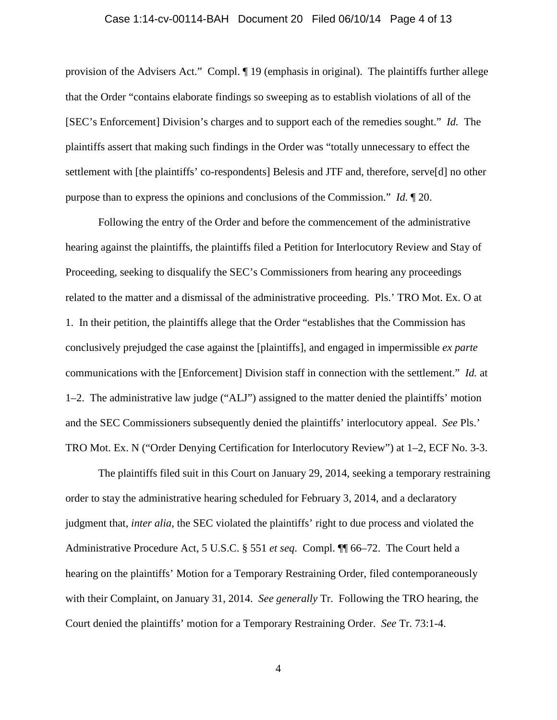#### Case 1:14-cv-00114-BAH Document 20 Filed 06/10/14 Page 4 of 13

provision of the Advisers Act." Compl. ¶ 19 (emphasis in original). The plaintiffs further allege that the Order "contains elaborate findings so sweeping as to establish violations of all of the [SEC's Enforcement] Division's charges and to support each of the remedies sought." *Id.* The plaintiffs assert that making such findings in the Order was "totally unnecessary to effect the settlement with [the plaintiffs' co-respondents] Belesis and JTF and, therefore, serve[d] no other purpose than to express the opinions and conclusions of the Commission." *Id.* ¶ 20.

Following the entry of the Order and before the commencement of the administrative hearing against the plaintiffs, the plaintiffs filed a Petition for Interlocutory Review and Stay of Proceeding, seeking to disqualify the SEC's Commissioners from hearing any proceedings related to the matter and a dismissal of the administrative proceeding. Pls.' TRO Mot. Ex. O at 1. In their petition, the plaintiffs allege that the Order "establishes that the Commission has conclusively prejudged the case against the [plaintiffs], and engaged in impermissible *ex parte* communications with the [Enforcement] Division staff in connection with the settlement." *Id.* at 1–2. The administrative law judge ("ALJ") assigned to the matter denied the plaintiffs' motion and the SEC Commissioners subsequently denied the plaintiffs' interlocutory appeal. *See* Pls.' TRO Mot. Ex. N ("Order Denying Certification for Interlocutory Review") at 1–2, ECF No. 3-3.

The plaintiffs filed suit in this Court on January 29, 2014, seeking a temporary restraining order to stay the administrative hearing scheduled for February 3, 2014, and a declaratory judgment that, *inter alia*, the SEC violated the plaintiffs' right to due process and violated the Administrative Procedure Act, 5 U.S.C. § 551 *et seq*. Compl. ¶¶ 66–72. The Court held a hearing on the plaintiffs' Motion for a Temporary Restraining Order, filed contemporaneously with their Complaint, on January 31, 2014. *See generally* Tr. Following the TRO hearing, the Court denied the plaintiffs' motion for a Temporary Restraining Order. *See* Tr. 73:1-4.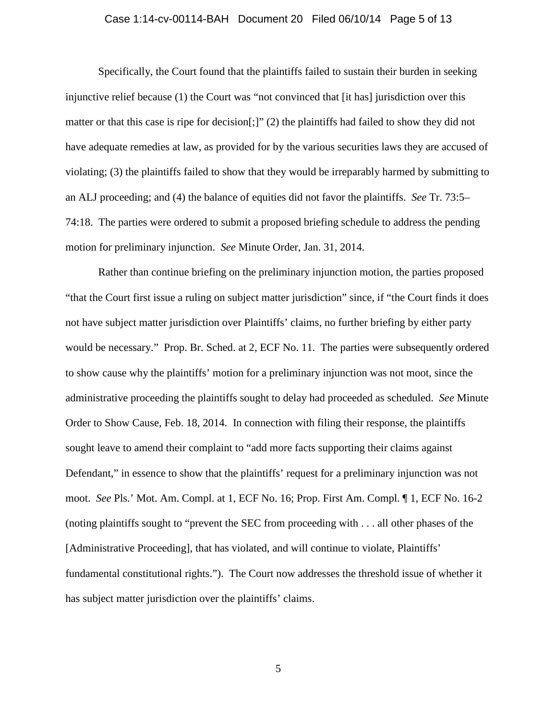### Case 1:14-cv-00114-BAH Document 20 Filed 06/10/14 Page 5 of 13

Specifically, the Court found that the plaintiffs failed to sustain their burden in seeking injunctive relief because (1) the Court was "not convinced that [it has] jurisdiction over this matter or that this case is ripe for decision[;]" (2) the plaintiffs had failed to show they did not have adequate remedies at law, as provided for by the various securities laws they are accused of violating; (3) the plaintiffs failed to show that they would be irreparably harmed by submitting to an ALJ proceeding; and (4) the balance of equities did not favor the plaintiffs. *See* Tr. 73:5– 74:18. The parties were ordered to submit a proposed briefing schedule to address the pending motion for preliminary injunction. *See* Minute Order, Jan. 31, 2014.

Rather than continue briefing on the preliminary injunction motion, the parties proposed "that the Court first issue a ruling on subject matter jurisdiction" since, if "the Court finds it does not have subject matter jurisdiction over Plaintiffs' claims, no further briefing by either party would be necessary." Prop. Br. Sched. at 2, ECF No. 11. The parties were subsequently ordered to show cause why the plaintiffs' motion for a preliminary injunction was not moot, since the administrative proceeding the plaintiffs sought to delay had proceeded as scheduled. *See* Minute Order to Show Cause, Feb. 18, 2014. In connection with filing their response, the plaintiffs sought leave to amend their complaint to "add more facts supporting their claims against Defendant," in essence to show that the plaintiffs' request for a preliminary injunction was not moot. *See* Pls.' Mot. Am. Compl. at 1, ECF No. 16; Prop. First Am. Compl. ¶ 1, ECF No. 16-2 (noting plaintiffs sought to "prevent the SEC from proceeding with . . . all other phases of the [Administrative Proceeding], that has violated, and will continue to violate, Plaintiffs' fundamental constitutional rights."). The Court now addresses the threshold issue of whether it has subject matter jurisdiction over the plaintiffs' claims.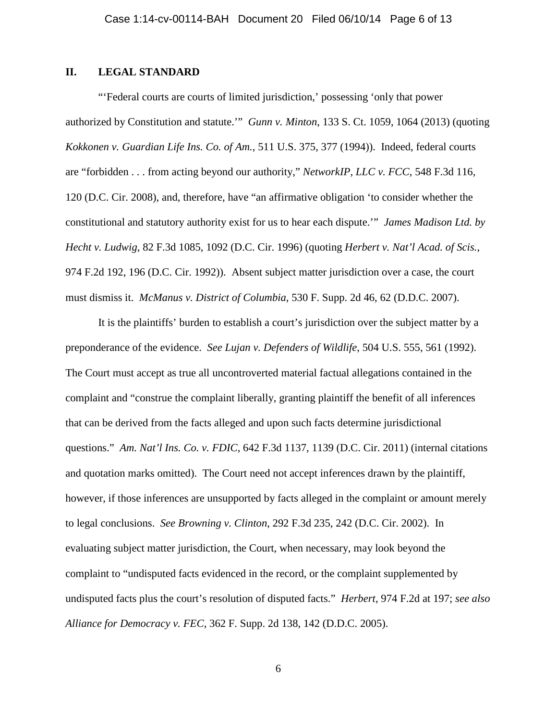# **II. LEGAL STANDARD**

"'Federal courts are courts of limited jurisdiction,' possessing 'only that power authorized by Constitution and statute.'" *Gunn v. Minton*, 133 S. Ct. 1059, 1064 (2013) (quoting *Kokkonen v. Guardian Life Ins. Co. of Am.*, 511 U.S. 375, 377 (1994)). Indeed, federal courts are "forbidden . . . from acting beyond our authority," *NetworkIP, LLC v. FCC*, 548 F.3d 116, 120 (D.C. Cir. 2008), and, therefore, have "an affirmative obligation 'to consider whether the constitutional and statutory authority exist for us to hear each dispute.'" *James Madison Ltd. by Hecht v. Ludwig*, 82 F.3d 1085, 1092 (D.C. Cir. 1996) (quoting *Herbert v. Nat'l Acad. of Scis.*, 974 F.2d 192, 196 (D.C. Cir. 1992)). Absent subject matter jurisdiction over a case, the court must dismiss it. *McManus v. District of Columbia*, 530 F. Supp. 2d 46, 62 (D.D.C. 2007).

It is the plaintiffs' burden to establish a court's jurisdiction over the subject matter by a preponderance of the evidence. *See Lujan v. Defenders of Wildlife*, 504 U.S. 555, 561 (1992). The Court must accept as true all uncontroverted material factual allegations contained in the complaint and "construe the complaint liberally, granting plaintiff the benefit of all inferences that can be derived from the facts alleged and upon such facts determine jurisdictional questions." *Am. Nat'l Ins. Co. v. FDIC*, 642 F.3d 1137, 1139 (D.C. Cir. 2011) (internal citations and quotation marks omitted). The Court need not accept inferences drawn by the plaintiff, however, if those inferences are unsupported by facts alleged in the complaint or amount merely to legal conclusions. *See Browning v. Clinton*, 292 F.3d 235, 242 (D.C. Cir. 2002). In evaluating subject matter jurisdiction, the Court, when necessary, may look beyond the complaint to "undisputed facts evidenced in the record, or the complaint supplemented by undisputed facts plus the court's resolution of disputed facts." *Herbert*, 974 F.2d at 197; *see also Alliance for Democracy v. FEC*, 362 F. Supp. 2d 138, 142 (D.D.C. 2005).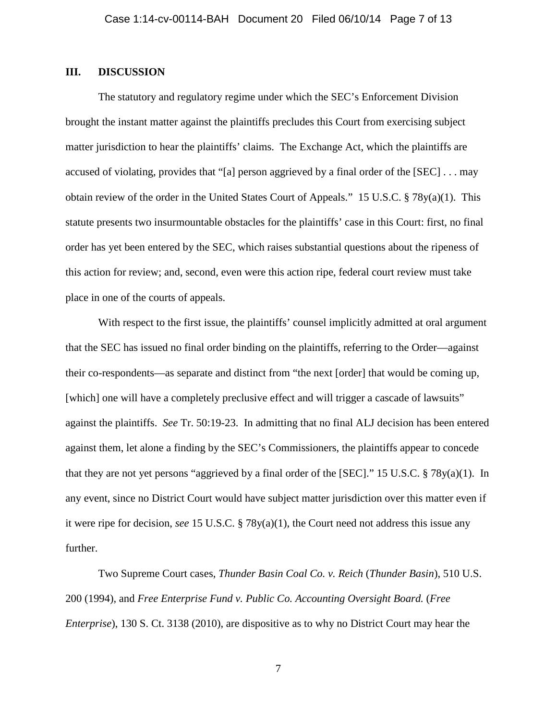## **III. DISCUSSION**

The statutory and regulatory regime under which the SEC's Enforcement Division brought the instant matter against the plaintiffs precludes this Court from exercising subject matter jurisdiction to hear the plaintiffs' claims. The Exchange Act, which the plaintiffs are accused of violating, provides that "[a] person aggrieved by a final order of the [SEC] . . . may obtain review of the order in the United States Court of Appeals." 15 U.S.C. § 78y(a)(1). This statute presents two insurmountable obstacles for the plaintiffs' case in this Court: first, no final order has yet been entered by the SEC, which raises substantial questions about the ripeness of this action for review; and, second, even were this action ripe, federal court review must take place in one of the courts of appeals.

With respect to the first issue, the plaintiffs' counsel implicitly admitted at oral argument that the SEC has issued no final order binding on the plaintiffs, referring to the Order—against their co-respondents—as separate and distinct from "the next [order] that would be coming up, [which] one will have a completely preclusive effect and will trigger a cascade of lawsuits" against the plaintiffs. *See* Tr. 50:19-23. In admitting that no final ALJ decision has been entered against them, let alone a finding by the SEC's Commissioners, the plaintiffs appear to concede that they are not yet persons "aggrieved by a final order of the [SEC]." 15 U.S.C. § 78y(a)(1). In any event, since no District Court would have subject matter jurisdiction over this matter even if it were ripe for decision, *see* 15 U.S.C. § 78y(a)(1), the Court need not address this issue any further.

Two Supreme Court cases, *Thunder Basin Coal Co. v. Reich* (*Thunder Basin*), 510 U.S. 200 (1994), and *Free Enterprise Fund v. Public Co. Accounting Oversight Board.* (*Free Enterprise*), 130 S. Ct. 3138 (2010), are dispositive as to why no District Court may hear the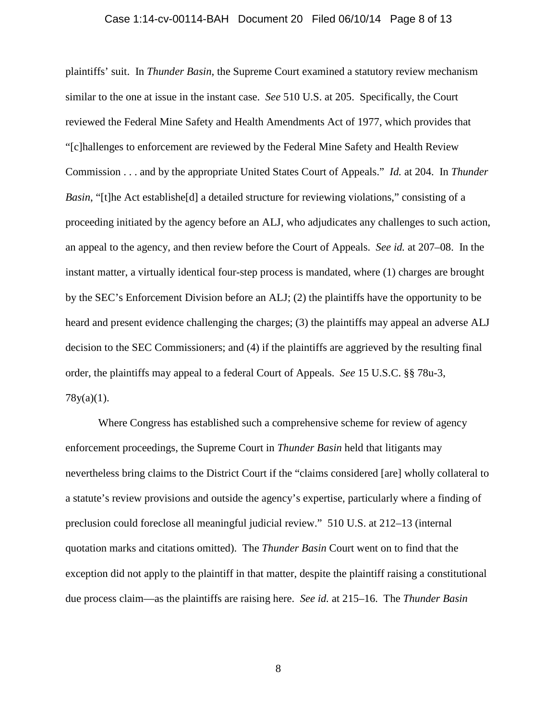# Case 1:14-cv-00114-BAH Document 20 Filed 06/10/14 Page 8 of 13

plaintiffs' suit. In *Thunder Basin*, the Supreme Court examined a statutory review mechanism similar to the one at issue in the instant case. *See* 510 U.S. at 205. Specifically, the Court reviewed the Federal Mine Safety and Health Amendments Act of 1977, which provides that "[c]hallenges to enforcement are reviewed by the Federal Mine Safety and Health Review Commission . . . and by the appropriate United States Court of Appeals." *Id.* at 204. In *Thunder Basin*, "[t]he Act establishe<sup>[d]</sup> a detailed structure for reviewing violations," consisting of a proceeding initiated by the agency before an ALJ, who adjudicates any challenges to such action, an appeal to the agency, and then review before the Court of Appeals. *See id.* at 207–08. In the instant matter, a virtually identical four-step process is mandated, where (1) charges are brought by the SEC's Enforcement Division before an ALJ; (2) the plaintiffs have the opportunity to be heard and present evidence challenging the charges; (3) the plaintiffs may appeal an adverse ALJ decision to the SEC Commissioners; and (4) if the plaintiffs are aggrieved by the resulting final order, the plaintiffs may appeal to a federal Court of Appeals. *See* 15 U.S.C. §§ 78u-3, 78y(a)(1).

Where Congress has established such a comprehensive scheme for review of agency enforcement proceedings, the Supreme Court in *Thunder Basin* held that litigants may nevertheless bring claims to the District Court if the "claims considered [are] wholly collateral to a statute's review provisions and outside the agency's expertise, particularly where a finding of preclusion could foreclose all meaningful judicial review." 510 U.S. at 212–13 (internal quotation marks and citations omitted). The *Thunder Basin* Court went on to find that the exception did not apply to the plaintiff in that matter, despite the plaintiff raising a constitutional due process claim—as the plaintiffs are raising here. *See id.* at 215–16. The *Thunder Basin*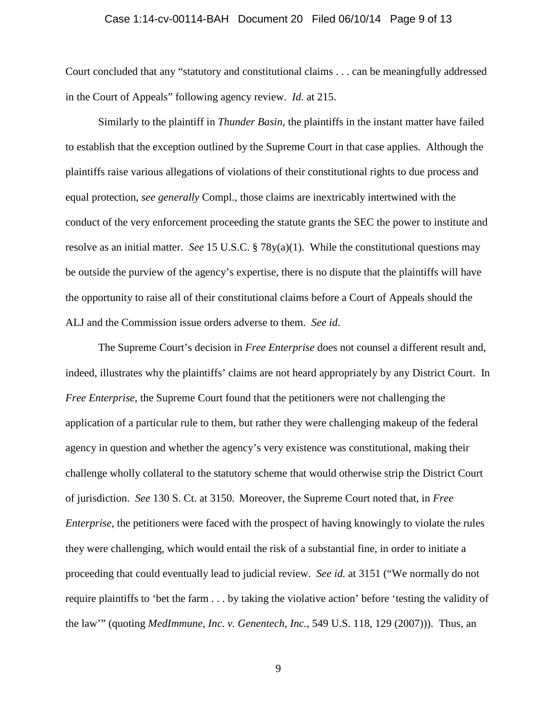#### Case 1:14-cv-00114-BAH Document 20 Filed 06/10/14 Page 9 of 13

Court concluded that any "statutory and constitutional claims . . . can be meaningfully addressed in the Court of Appeals" following agency review. *Id.* at 215.

Similarly to the plaintiff in *Thunder Basin*, the plaintiffs in the instant matter have failed to establish that the exception outlined by the Supreme Court in that case applies. Although the plaintiffs raise various allegations of violations of their constitutional rights to due process and equal protection, *see generally* Compl., those claims are inextricably intertwined with the conduct of the very enforcement proceeding the statute grants the SEC the power to institute and resolve as an initial matter. *See* 15 U.S.C. § 78y(a)(1). While the constitutional questions may be outside the purview of the agency's expertise, there is no dispute that the plaintiffs will have the opportunity to raise all of their constitutional claims before a Court of Appeals should the ALJ and the Commission issue orders adverse to them. *See id*.

The Supreme Court's decision in *Free Enterprise* does not counsel a different result and, indeed, illustrates why the plaintiffs' claims are not heard appropriately by any District Court. In *Free Enterprise*, the Supreme Court found that the petitioners were not challenging the application of a particular rule to them, but rather they were challenging makeup of the federal agency in question and whether the agency's very existence was constitutional, making their challenge wholly collateral to the statutory scheme that would otherwise strip the District Court of jurisdiction. *See* 130 S. Ct. at 3150. Moreover, the Supreme Court noted that, in *Free Enterprise*, the petitioners were faced with the prospect of having knowingly to violate the rules they were challenging, which would entail the risk of a substantial fine, in order to initiate a proceeding that could eventually lead to judicial review. *See id.* at 3151 ("We normally do not require plaintiffs to 'bet the farm . . . by taking the violative action' before 'testing the validity of the law'" (quoting *MedImmune, Inc. v. Genentech, Inc.*, 549 U.S. 118, 129 (2007))). Thus, an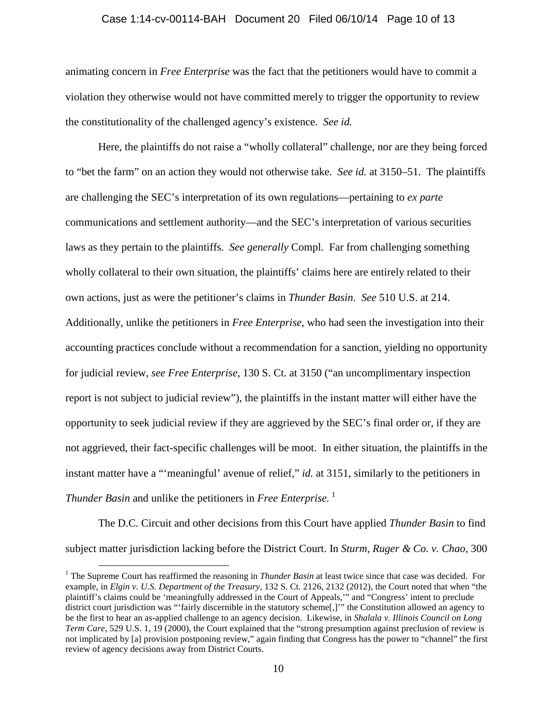### Case 1:14-cv-00114-BAH Document 20 Filed 06/10/14 Page 10 of 13

animating concern in *Free Enterprise* was the fact that the petitioners would have to commit a violation they otherwise would not have committed merely to trigger the opportunity to review the constitutionality of the challenged agency's existence. *See id.*

Here, the plaintiffs do not raise a "wholly collateral" challenge, nor are they being forced to "bet the farm" on an action they would not otherwise take. *See id.* at 3150–51. The plaintiffs are challenging the SEC's interpretation of its own regulations—pertaining to *ex parte*  communications and settlement authority—and the SEC's interpretation of various securities laws as they pertain to the plaintiffs. *See generally* Compl. Far from challenging something wholly collateral to their own situation, the plaintiffs' claims here are entirely related to their own actions, just as were the petitioner's claims in *Thunder Basin*. *See* 510 U.S. at 214. Additionally, unlike the petitioners in *Free Enterprise*, who had seen the investigation into their accounting practices conclude without a recommendation for a sanction, yielding no opportunity for judicial review, *see Free Enterprise*, 130 S. Ct. at 3150 ("an uncomplimentary inspection report is not subject to judicial review"), the plaintiffs in the instant matter will either have the opportunity to seek judicial review if they are aggrieved by the SEC's final order or, if they are not aggrieved, their fact-specific challenges will be moot. In either situation, the plaintiffs in the instant matter have a "'meaningful' avenue of relief," *id.* at 3151, similarly to the petitioners in *Thunder Basin* and unlike the petitioners in *Free Enterprise.* [1](#page-9-0)

The D.C. Circuit and other decisions from this Court have applied *Thunder Basin* to find subject matter jurisdiction lacking before the District Court. In *Sturm, Ruger & Co. v. Chao*, 300

<span id="page-9-0"></span><sup>&</sup>lt;sup>1</sup> The Supreme Court has reaffirmed the reasoning in *Thunder Basin* at least twice since that case was decided. For example, in *Elgin v. U.S. Department of the Treasury*, 132 S. Ct. 2126, 2132 (2012), the Court noted that when "the plaintiff's claims could be 'meaningfully addressed in the Court of Appeals,'" and "Congress' intent to preclude district court jurisdiction was "'fairly discernible in the statutory scheme[,]'" the Constitution allowed an agency to be the first to hear an as-applied challenge to an agency decision. Likewise, in *Shalala v. Illinois Council on Long Term Care*, 529 U.S. 1, 19 (2000), the Court explained that the "strong presumption against preclusion of review is not implicated by [a] provision postponing review," again finding that Congress has the power to "channel" the first review of agency decisions away from District Courts.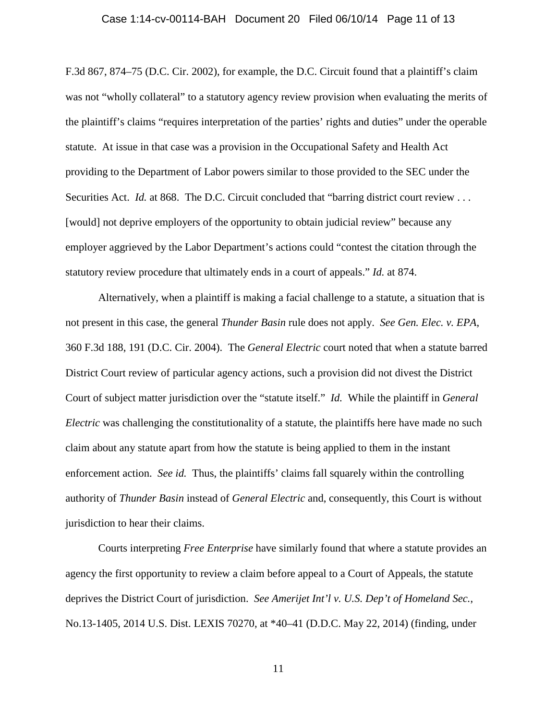#### Case 1:14-cv-00114-BAH Document 20 Filed 06/10/14 Page 11 of 13

F.3d 867, 874–75 (D.C. Cir. 2002), for example, the D.C. Circuit found that a plaintiff's claim was not "wholly collateral" to a statutory agency review provision when evaluating the merits of the plaintiff's claims "requires interpretation of the parties' rights and duties" under the operable statute. At issue in that case was a provision in the Occupational Safety and Health Act providing to the Department of Labor powers similar to those provided to the SEC under the Securities Act. *Id.* at 868. The D.C. Circuit concluded that "barring district court review . . . [would] not deprive employers of the opportunity to obtain judicial review" because any employer aggrieved by the Labor Department's actions could "contest the citation through the statutory review procedure that ultimately ends in a court of appeals." *Id.* at 874.

Alternatively, when a plaintiff is making a facial challenge to a statute, a situation that is not present in this case, the general *Thunder Basin* rule does not apply. *See Gen. Elec. v. EPA*, 360 F.3d 188, 191 (D.C. Cir. 2004). The *General Electric* court noted that when a statute barred District Court review of particular agency actions, such a provision did not divest the District Court of subject matter jurisdiction over the "statute itself." *Id.* While the plaintiff in *General Electric* was challenging the constitutionality of a statute, the plaintiffs here have made no such claim about any statute apart from how the statute is being applied to them in the instant enforcement action. *See id.* Thus, the plaintiffs' claims fall squarely within the controlling authority of *Thunder Basin* instead of *General Electric* and, consequently, this Court is without jurisdiction to hear their claims.

Courts interpreting *Free Enterprise* have similarly found that where a statute provides an agency the first opportunity to review a claim before appeal to a Court of Appeals, the statute deprives the District Court of jurisdiction. *See Amerijet Int'l v. U.S. Dep't of Homeland Sec.*, No.13-1405, 2014 U.S. Dist. LEXIS 70270, at \*40–41 (D.D.C. May 22, 2014) (finding, under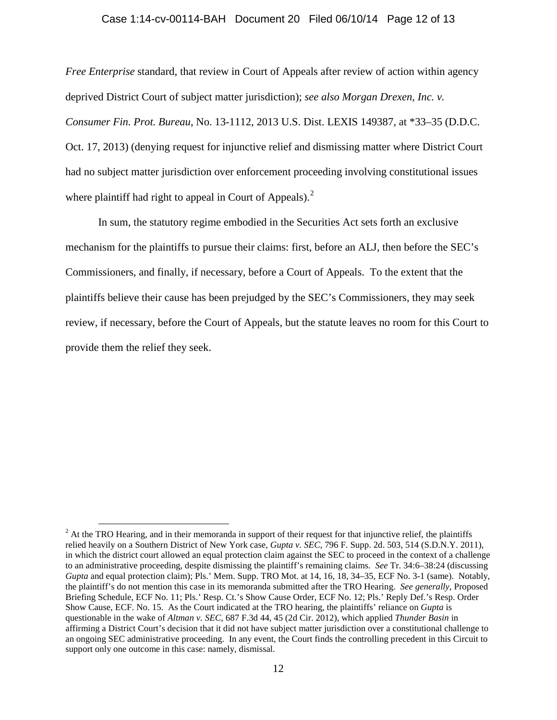### Case 1:14-cv-00114-BAH Document 20 Filed 06/10/14 Page 12 of 13

*Free Enterprise* standard, that review in Court of Appeals after review of action within agency deprived District Court of subject matter jurisdiction); *see also Morgan Drexen, Inc. v. Consumer Fin. Prot. Bureau*, No. 13-1112, 2013 U.S. Dist. LEXIS 149387, at \*33–35 (D.D.C. Oct. 17, 2013) (denying request for injunctive relief and dismissing matter where District Court had no subject matter jurisdiction over enforcement proceeding involving constitutional issues where plaintiff had right to appeal in Court of Appeals). $2^2$  $2^2$ 

In sum, the statutory regime embodied in the Securities Act sets forth an exclusive mechanism for the plaintiffs to pursue their claims: first, before an ALJ, then before the SEC's Commissioners, and finally, if necessary, before a Court of Appeals. To the extent that the plaintiffs believe their cause has been prejudged by the SEC's Commissioners, they may seek review, if necessary, before the Court of Appeals, but the statute leaves no room for this Court to provide them the relief they seek.

<span id="page-11-0"></span> $2$  At the TRO Hearing, and in their memoranda in support of their request for that injunctive relief, the plaintiffs relied heavily on a Southern District of New York case, *Gupta v. SEC*, 796 F. Supp. 2d. 503, 514 (S.D.N.Y. 2011), in which the district court allowed an equal protection claim against the SEC to proceed in the context of a challenge to an administrative proceeding, despite dismissing the plaintiff's remaining claims. *See* Tr. 34:6–38:24 (discussing *Gupta* and equal protection claim); Pls.' Mem. Supp. TRO Mot. at 14, 16, 18, 34–35, ECF No. 3-1 (same). Notably, the plaintiff's do not mention this case in its memoranda submitted after the TRO Hearing. *See generally*, Proposed Briefing Schedule, ECF No. 11; Pls.' Resp. Ct.'s Show Cause Order, ECF No. 12; Pls.' Reply Def.'s Resp. Order Show Cause, ECF. No. 15. As the Court indicated at the TRO hearing, the plaintiffs' reliance on *Gupta* is questionable in the wake of *Altman v. SEC*, 687 F.3d 44, 45 (2d Cir. 2012), which applied *Thunder Basin* in affirming a District Court's decision that it did not have subject matter jurisdiction over a constitutional challenge to an ongoing SEC administrative proceeding. In any event, the Court finds the controlling precedent in this Circuit to support only one outcome in this case: namely, dismissal.